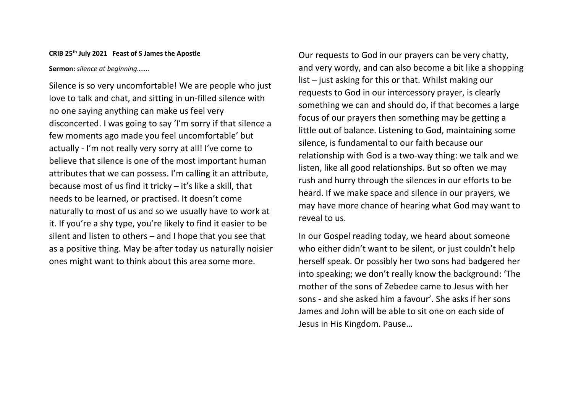## **CRIB 25th July 2021 Feast of S James the Apostle**

**Sermon:** *silence at beginning…….*

Silence is so very uncomfortable! We are people who just love to talk and chat, and sitting in un-filled silence with no one saying anything can make us feel very disconcerted. I was going to say 'I'm sorry if that silence a few moments ago made you feel uncomfortable' but actually - I'm not really very sorry at all! I've come to believe that silence is one of the most important human attributes that we can possess. I'm calling it an attribute, because most of us find it tricky – it's like a skill, that needs to be learned, or practised. It doesn't come naturally to most of us and so we usually have to work at it. If you're a shy type, you're likely to find it easier to be silent and listen to others – and I hope that you see that as a positive thing. May be after today us naturally noisier ones might want to think about this area some more.

Our requests to God in our prayers can be very chatty, and very wordy, and can also become a bit like a shopping list – just asking for this or that. Whilst making our requests to God in our intercessory prayer, is clearly something we can and should do, if that becomes a large focus of our prayers then something may be getting a little out of balance. Listening to God, maintaining some silence, is fundamental to our faith because our relationship with God is a two-way thing: we talk and we listen, like all good relationships. But so often we may rush and hurry through the silences in our efforts to be heard. If we make space and silence in our prayers, we may have more chance of hearing what God may want to reveal to us.

In our Gospel reading today, we heard about someone who either didn't want to be silent, or just couldn't help herself speak. Or possibly her two sons had badgered her into speaking; we don't really know the background: 'The mother of the sons of Zebedee came to Jesus with her sons - and she asked him a favour'. She asks if her sons James and John will be able to sit one on each side of Jesus in His Kingdom. Pause…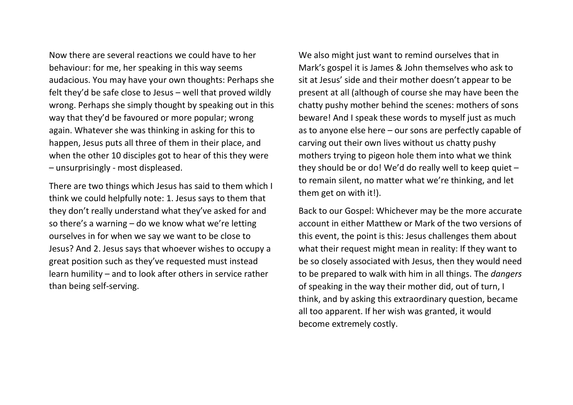Now there are several reactions we could have to her behaviour: for me, her speaking in this way seems audacious. You may have your own thoughts: Perhaps she felt they'd be safe close to Jesus – well that proved wildly wrong. Perhaps she simply thought by speaking out in this way that they'd be favoured or more popular; wrong again. Whatever she was thinking in asking for this to happen, Jesus puts all three of them in their place, and when the other 10 disciples got to hear of this they were – unsurprisingly - most displeased.

There are two things which Jesus has said to them which I think we could helpfully note: 1. Jesus says to them that they don't really understand what they've asked for and so there's a warning – do we know what we're letting ourselves in for when we say we want to be close to Jesus? And 2. Jesus says that whoever wishes to occupy a great position such as they've requested must instead learn humility – and to look after others in service rather than being self-serving.

We also might just want to remind ourselves that in Mark's gospel it is James & John themselves who ask to sit at Jesus' side and their mother doesn't appear to be present at all (although of course she may have been the chatty pushy mother behind the scenes: mothers of sons beware! And I speak these words to myself just as much as to anyone else here – our sons are perfectly capable of carving out their own lives without us chatty pushy mothers trying to pigeon hole them into what we think they should be or do! We'd do really well to keep quiet – to remain silent, no matter what we're thinking, and let them get on with it!).

Back to our Gospel: Whichever may be the more accurate account in either Matthew or Mark of the two versions of this event, the point is this: Jesus challenges them about what their request might mean in reality: If they want to be so closely associated with Jesus, then they would need to be prepared to walk with him in all things. The *dangers* of speaking in the way their mother did, out of turn, I think, and by asking this extraordinary question, became all too apparent. If her wish was granted, it would become extremely costly.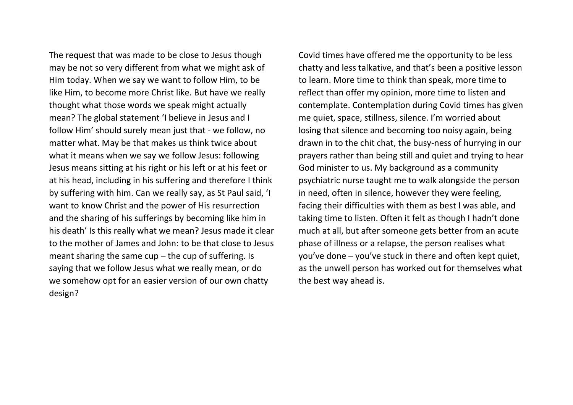The request that was made to be close to Jesus though may be not so very different from what we might ask of Him today. When we say we want to follow Him, to be like Him, to become more Christ like. But have we really thought what those words we speak might actually mean? The global statement 'I believe in Jesus and I follow Him' should surely mean just that - we follow, no matter what. May be that makes us think twice about what it means when we say we follow Jesus: following Jesus means sitting at his right or his left or at his feet or at his head, including in his suffering and therefore I think by suffering with him. Can we really say, as St Paul said, 'I want to know Christ and the power of His resurrection and the sharing of his sufferings by becoming like him in his death' Is this really what we mean? Jesus made it clear to the mother of James and John: to be that close to Jesus meant sharing the same  $cup$  – the cup of suffering. Is saying that we follow Jesus what we really mean, or do we somehow opt for an easier version of our own chatty design?

Covid times have offered me the opportunity to be less chatty and less talkative, and that's been a positive lesson to learn. More time to think than speak, more time to reflect than offer my opinion, more time to listen and contemplate. Contemplation during Covid times has given me quiet, space, stillness, silence. I'm worried about losing that silence and becoming too noisy again, being drawn in to the chit chat, the busy-ness of hurrying in our prayers rather than being still and quiet and trying to hear God minister to us. My background as a community psychiatric nurse taught me to walk alongside the person in need, often in silence, however they were feeling, facing their difficulties with them as best I was able, and taking time to listen. Often it felt as though I hadn't done much at all, but after someone gets better from an acute phase of illness or a relapse, the person realises what you've done – you've stuck in there and often kept quiet, as the unwell person has worked out for themselves what the best way ahead is.